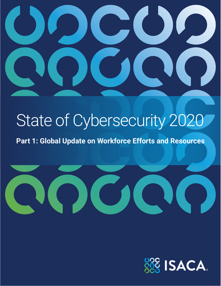

# State of Cybersecurity 2020

**Part 1: Global Update on Workforce Efforts and Resources**



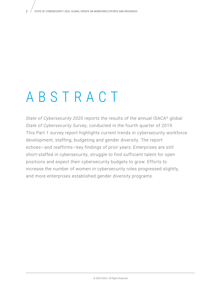# ABSTRACT

*State of Cybersecurity 2020* reports the results of the annual ISACA® global *State of Cybersecurity Survey*, conducted in the fourth quarter of 2019. This Part 1 survey report highlights current trends in cybersecurity workforce development, staffing, budgeting and gender diversity. The report echoes—and reaffirms—key findings of prior years: Enterprises are still short-staffed in cybersecurity, struggle to find sufficient talent for open positions and expect their cybersecurity budgets to grow. Efforts to increase the number of women in cybersecurity roles progressed slightly, and more enterprises established gender diversity programs.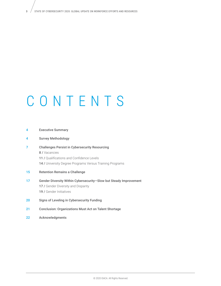# CONTENTS

| 4  | <b>Executive Summary</b>                                          |
|----|-------------------------------------------------------------------|
| 4  | <b>Survey Methodology</b>                                         |
| 7  | <b>Challenges Persist in Cybersecurity Resourcing</b>             |
|    | <b>8/Vacancies</b>                                                |
|    | 11 / Qualifications and Confidence Levels                         |
|    | <b>14/</b> University Degree Programs Versus Training Programs    |
| 15 | <b>Retention Remains a Challenge</b>                              |
| 17 | Gender Diversity Within Cybersecurity-Slow but Steady Improvement |
|    | <b>17 /</b> Gender Diversity and Disparity                        |
|    | 19 / Gender Initiatives                                           |
| 20 | Signs of Leveling in Cybersecurity Funding                        |
|    |                                                                   |

- 21 Conclusion: Organizations Must Act on Talent Shortage
- 22 Acknowledgments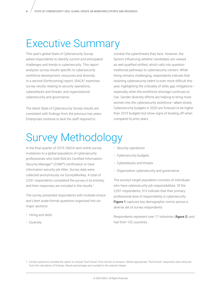# Executive Summary

This year's global *State of Cybersecurity Survey*  asked respondents to identify current and anticipated challenges and trends in cybersecurity. This report analyzes survey results specific to cybersecurity workforce development, resources and diversity. In a second (forthcoming) report, ISACA® examines survey results relating to security operations, cyberattacks and threats, and organizational cybersecurity and governance.

The latest *State of Cybersecurity Survey* results are consistent with findings from the previous two years. Enterprises continue to lack the staff required to

combat the cyberthreats they face. However, the factors influencing whether candidates are viewed as well qualified shifted, which calls into question traditional pathways to cybersecurity careers. While hiring remains challenging, respondents indicate that retaining cybersecurity talent is even more difficult this year, highlighting the criticality of skills gap mitigations especially when the workforce shortage continues to rise. Gender diversity efforts are helping to bring more women into the cybersecurity workforce—albeit slowly. Cybersecurity budgets in 2020 are forecast to be higher than 2019 budgets but show signs of leveling off when compared to prior years.

# Survey Methodology

In the final quarter of 2019, ISACA sent online survey invitations to a global population of cybersecurity professionals who hold ISACA's Certified Information Security Manager® (CISM®) certification or have information security job titles. Survey data were collected anonymously via SurveyMonkey. A total of 2,051 respondents completed the survey in its entirety, and their responses are included in the results.<sup>1</sup>

The survey presented respondents with multiple-choice and Likert scale-format questions organized into six major sections:

- Hiring and skills
- Diversity
- Security operations
- Cybersecurity budgets
- Cyberattacks and threats
- Organization cybersecurity and governance

The survey's target population consists of individuals who have cybersecurity job responsibilities. Of the 2,051 respondents, 913 indicate that their primary professional area of responsibility is cybersecurity. **Figure 1** captures key demographic norms across a diverse set of survey respondents.

Respondents represent over 17 industries (**figure 2**) and hail from 102 countries.

<sup>1</sup> Certain questions included the option to choose "Don't know" from the list of answers. Where appropriate, "Don't know" responses were removed from the calculation of findings. Result percentages are rounded to the nearest integer.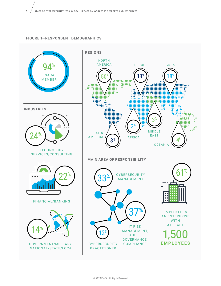#### **FIGURE 1—RESPONDENT DEMOGRAPHICS**

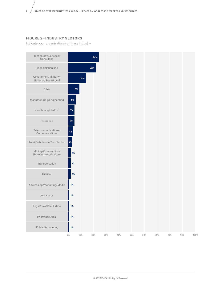#### **FIGURE 2—INDUSTRY SECTORS**

Indicate your organization's primary industry.

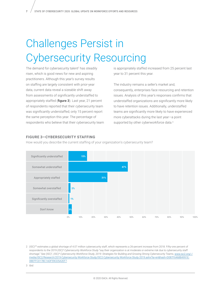# Challenges Persist in Cybersecurity Resourcing

The demand for cybersecurity talent<sup>2</sup> has steadily risen, which is good news for new and aspiring practitioners. Although this year's survey results on staffing are largely consistent with prior-year data, current data reveal a sizeable shift away from assessments of significantly understaffed to appropriately staffed (**figure 3**). Last year, 21 percent of respondents reported that their cybersecurity team was significantly understaffed; only 15 percent report the same perception this year. The percentage of respondents who believe that their cybersecurity team is appropriately staffed increased from 25 percent last year to 31 percent this year.

The industry remains a seller's market and, consequently, enterprises face resourcing and retention issues. Analysis of this year's responses confirms that understaffed organizations are significantly more likely to have retention issues. Additionally, understaffed teams are significantly more likely to have experienced more cyberattacks during the last year—a point supported by other cyberworkforce data.<sup>3</sup>

#### **FIGURE 3—CYBERSECURITY STAFFING FIGURE 3–CYBERSECURITY STAFFING**

How would you describe the current staffing of your organization's cybersecurity team? How would you describe the current staffing of your organization's cybersecurity team?



2 (ISC)<sup>2®</sup> estimates a global shortage of 4.07 million cybersecurity staff, which represents a 26-percent increase from 2018. Fifty-one percent of respondents to the 2019 *(ISC)² Cybersecurity Workforce Study* "say their organization is at moderate or extreme risk due to cybersecurity staff shortage." See (ISC)2 , *(ISC)² Cybersecurity Workforce Study, 2019: Strategies for Building and Growing Strong Cybersecurity Teams*, [www.isc2.org/-/](http://www.isc2.org/-/media/ISC2/Research/2019-Cybersecurity-Workforce-Study/ISC2-Cybersecurity-Workforce-Study-2019.ashx?la=en&hash=D087F6468B4991E0BEFFC017BC1ADF59CD5A2EF7) [media/ISC2/Research/2019-Cybersecurity-Workforce-Study/ISC2-Cybersecurity-Workforce-Study-2019.ashx?la=en&hash=D087F6468B4991E](http://www.isc2.org/-/media/ISC2/Research/2019-Cybersecurity-Workforce-Study/ISC2-Cybersecurity-Workforce-Study-2019.ashx?la=en&hash=D087F6468B4991E0BEFFC017BC1ADF59CD5A2EF7)-[0BEFFC017BC1ADF59CD5A2EF7](http://www.isc2.org/-/media/ISC2/Research/2019-Cybersecurity-Workforce-Study/ISC2-Cybersecurity-Workforce-Study-2019.ashx?la=en&hash=D087F6468B4991E0BEFFC017BC1ADF59CD5A2EF7).

3 *Ibid*.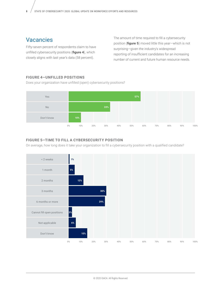# Vacancies

Fifty-seven percent of respondents claim to have unfilled cybersecurity positions (**figure 4**), which closely aligns with last year's data (58 percent).

The amount of time required to fill a cybersecurity position (**figure 5**) moved little this year—which is not surprising—given the industry's widespread reporting of insufficient candidates for an increasing number of current and future human resource needs.

#### **FIGURE 4—UNFILLED POSITIONS FIGURE 4–UNFILLED POSITIONS**

Does your organization have unfilled (open) cybersecurity positions? Does your organization have unfilled (open) cybersecurity positions?



#### **FIGURE 5—TIME TO FILL A CYBERSECURITY POSITION FIGURE 5–TIME TO FILL A CYBERSECURITY POSITION**

On average, how long does it take your organization to fill a cybersecurity position with a qualified candidate?

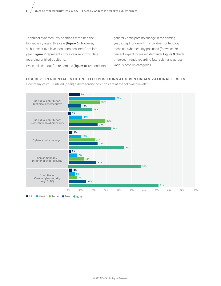Technical cybersecurity positions remained the top vacancy again this year (**figure 6**); however, all but executive-level positions declined from last year. **Figure 7** represents three-year reporting data regarding unfilled positions.

generally anticipate no change in the coming year, except for growth in individual contributor/ technical cybersecurity positions (for which 78 percent expect increased demand). **Figure 9** charts three-year trends regarding future demand across various position categories.

When asked about future demand (**figure 8**), respondents

#### **FIGURE 6—PERCENTAGES OF UNFILLED POSITIONS AT GIVEN ORGANIZATIONAL LEVELS FIGURE 6–PERCENTAGES OF UNFILLED POSITIONS AT GIVEN ORGANIZATIONAL LEVELS**

How many of your unfilled (open) cybersecurity positions are at the following levels? How many of your unfilled (open) cybersecurity positions are at the following levels?

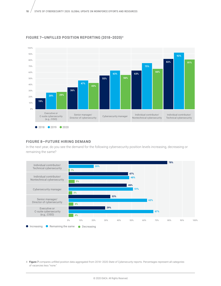

#### **FIGURE 7—UNFILLED POSITION REPORTING (2018–2020)<sup>4</sup> FIGURE 7–UNFILLED POSITION REPORTING (2018–2020)4**

## **FIGURE 8—FUTURE HIRING DEMAND FIGURE 8–FUTURE HIRING DEMAND**

In the next year, do you see the demand for the following cybersecurity position levels increasing, decreasing or remaining the same? the same?



4 **Figure 7** compares unfilled position data aggregated from 2018–2020 *State of Cybersecurity* reports. Percentages represent all categories of vacancies less "none."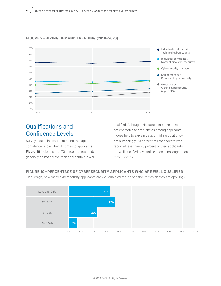



# Qualifications and Confidence Levels

Survey results indicate that hiring manager confidence is low when it comes to applicants. **Figure 10** indicates that 70 percent of respondents generally do not believe their applicants are well

qualified. Although this datapoint alone does not characterize deficiencies among applicants, it does help to explain delays in filling positions not surprisingly, 73 percent of respondents who reported less than 25 percent of their applicants are well qualified have unfilled positions longer than three months.

### **FIGURE 10—PERCENTAGE OF CYBERSECURITY APPLICANTS WHO ARE WELL QUALIFIED FIGURE 10–PERCENTAGE OF CYBERSECURITY APPLICANTS WHO ARE WELL QUALIFIED**

On average, how many cybersecurity applicants are well qualified for the position for which they are applying? On average, how many cybersecurity applicants are well qualified for the position for which they are applying?

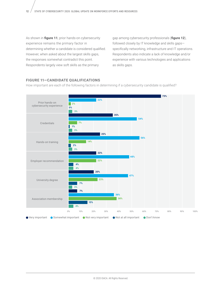As shown in **figure 11**, prior hands-on cybersecurity experience remains the primary factor in determining whether a candidate is considered qualified. However, when asked about the largest skills gaps, the responses somewhat contradict this point. Respondents largely view soft skills as the primary

gap among cybersecurity professionals (**figure 12**), followed closely by IT knowledge and skills gaps specifically networking, infrastructure and IT operations. Respondents also indicate a lack of knowledge and/or experience with various technologies and applications as skills gaps.

### **FIGURE 11—CANDIDATE QUALIFICATIONS FIGURE 11–CANDIDATE QUALIFICATIONS**

How important are each of the following factors in determining if a cybersecurity candidate is qualified? How important are each of the following factors in determining if a cybersecurity candidate is qualified?

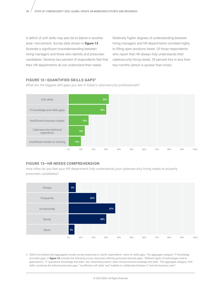A deficit of soft skills may also be to blame in another area—recruitment. Survey data shown in **figure 13** illustrate a significant misunderstanding between hiring managers and those who identify and prescreen candidates. Seventy-two percent of respondents feel that their HR departments do not understand their needs.

Relatively higher degrees of understanding between hiring managers and HR departments correlate highly to filling open positions faster. Of those respondents who report that HR always fully understands their cybersecurity hiring needs, 29 percent hire in less than two months (which is quicker than most).

#### **FIGURE 12—QUANTIFIED SKILLS GAPS5 FIGURE 12–QUANTIFIED SKILLS GAPS5**

What are the biggest skill gaps you see in today's cybersecurity professionals? What are the biggest skill gaps you see in today's cybersecurity professionals?



### **FIGURE 13—HR NEEDS COMPREHENSION FIGURE 13–HR NEEDS COMPREHENSION**

How often do you feel your HR department fully understands your cybersecurity hiring needs to properly How often do you feel your HR department fully understands your cybersecurity hiring needs to properly prescreen candidates? prescreen candidates?



5 ISACA normalized and aggregated certain survey responses to clarify respondents' views on skills gaps. The aggregate category 'IT knowledge and skills gaps' in **figure 12** includes the following survey responses defining particular/discrete gaps: "different types of technologies and/or applications," "IT operations knowledge and skills" and "networking and/or other infrastructure knowledge and skills." The aggregate category 'Soft skills' combines the following discrete gaps: "insufficient soft skills" and "inability to collaborate between IT and the business units."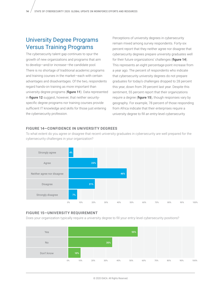# University Degree Programs Versus Training Programs

The cybersecurity talent gap continues to spur the growth of new organizations and programs that aim to develop—and/or increase—the candidate pool. There is no shortage of traditional academic programs and training courses in the market—each with certain advantages and disadvantages. Of the two, respondents regard hands-on training as more important than university degree programs (**figure 11**). Data represented in **figure 12** suggest, however, that neither securityspecific degree programs nor training courses provide sufficient IT knowledge and skills for those just entering the cybersecurity profession.

Perceptions of university degrees in cybersecurity remain mixed among survey respondents. Forty-six percent report that they neither agree nor disagree that cybersecurity degrees prepare university graduates well for their future organizations' challenges (**figure 14**). This represents an eight percentage-point increase from a year ago. The percent of respondents who indicate that cybersecurity university degrees do not prepare graduates for today's challenges dropped to 28 percent this year, down from 39 percent last year. Despite this sentiment, 55 percent report that their organizations require a degree (**figure 15**), though responses vary by geography. For example, 78 percent of those responding from Africa indicate that their enterprises require a university degree to fill an entry-level cybersecurity

### FIGURE 14-CONFIDENCE IN UNIVERSITY DEGREES

To what extent do you agree or disagree that recent university graduates in cybersecurity are well prepared for the cybersecurity challenges in your organization? cybersecurity challenges in your organization?



#### **FIGURE 15—UNIVERSITY REQUIREMENT FIGURE 15–UNIVERSITY REQUIREMENT**

Does your organization typically require a university degree to fill your entry-level cybersecurity positions? Does your organization typically require a university degree to fill your entry-level cybersecurity positions?

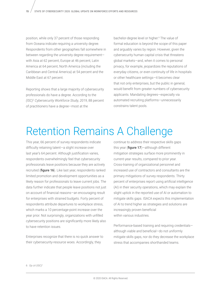position, while only 37 percent of those responding from Oceana indicate requiring a university degree. Respondents from other geographies fall somewhere in between regarding the university degree requirement with Asia at 62 percent, Europe at 46 percent, Latin America at 64 percent, North America (including the Caribbean and Central America) at 54 percent and the Middle East at 67 percent.

Reporting shows that a large majority of cybersecurity professionals do have a degree. According to the *(ISC)2 Cybersecurity Workforce Study, 2019*, 88 percent of practitioners have a degree—most at the

bachelor-degree level or higher.6 The value of formal education is beyond the scope of this paper and arguably varies by region. However, given the cybersecurity human capital crisis that threatens global markets—and, when it comes to personal privacy, for example, jeopardizes the reputations of everyday citizens, or even continuity of life in hospitals or other healthcare settings—it becomes clear that not only enterprises, but the public in general, would benefit from greater numbers of cybersecurity applicants. Mandating degrees—especially via automated recruiting platforms—unnecessarily constrains talent pools.

# Retention Remains A Challenge

This year, 66 percent of survey respondents indicate difficulty retaining talent—a slight increase over last year's 64 percent. Although justification varies, respondents overwhelmingly feel that cybersecurity professionals leave positions because they are actively recruited (**figure 16**). Like last year, respondents ranked limited promotion and development opportunities as a likely reason for professionals to leave current jobs. The data further indicate that people leave positions not just on account of financial reasons—an encouraging result for enterprises with strained budgets. Forty percent of respondents attribute departures to workplace stress, which marks a 10 percentage-point increase over the year prior. Not surprisingly, organizations with unfilled cybersecurity positions are significantly more likely also to have retention issues.

Enterprises recognize that there is no quick answer to their cybersecurity-resource woes. Accordingly, they

continue to address their respective skills gaps this year (**figure 17**)—although different mitigation strategies surface more prominently in current-year results, compared to prior year. Cross-training of organizational personnel and increased use of contractors and consultants are the primary mitigations of survey respondents. Thirty percent of enterprises report using artificial intelligence (AI) in their security operations, which may explain the slight uptick in the reported use of AI or automation to mitigate skills gaps. ISACA expects this implementation of AI to trend higher as strategies and solutions are increasingly proven beneficial within various industries.

Performance-based training and requiring credentials although viable and beneficial—do not uniformly mitigate skills gaps, nor do they decrease the workplace stress that accompanies shorthanded teams.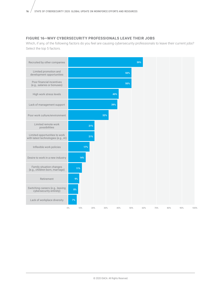### **FIGURE 16—WHY CYBERSECURITY PROFESSIONALS LEAVE THEIR JOBS FIGURE 16—WHY CYBERSECURITY PROFESSIONALS LEAVE THEIR JOBS**

Which, if any, of the following factors do you feel are causing cybersecurity professionals to leave their current jobs? Select the top 5 factors.

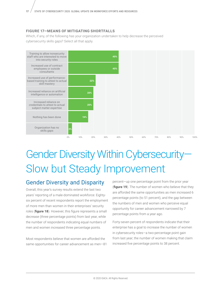#### **FIGURE 17—MEANS OF MITIGATING SHORTFALLS**

Which, if any, of the following has your organization undertaken to help decrease the perceived cybersecurity skills gaps? Select all that apply.



# Gender Diversity Within Cybersecurity— Slow but Steady Improvement

# Gender Diversity and Disparity

Overall, this year's survey results extend the last two years' reporting of a male-dominated workforce: Eightysix percent of recent respondents report the employment of more men than women in their enterprises' security roles (**figure 18**). However, this figure represents a small decrease (three percentage points) from last year, while the number of respondents indicating equal numbers of men and women increased three percentage points.

Most respondents believe that women are afforded the same opportunities for career advancement as men—81 percent—up one percentage point from the prior year (**figure 19**). The number of women who believe that they are afforded the same opportunities as men increased 6 percentage points (to 51 percent), and the gap between the numbers of men and women who perceive equal opportunity for career advancement narrowed by 7 percentage points from a year ago.

Forty-seven percent of respondents indicate that their enterprise has a goal to increase the number of women in cybersecurity roles—a two-percentage point gain from last year; the number of women making that claim increased five percentage points to 38 percent.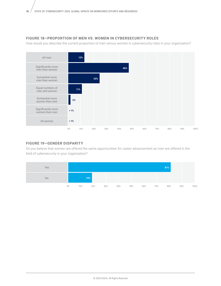## **FIGURE 18—PROPORTION OF MEN VS. WOMEN IN CYBERSECURITY ROLES FIGURE 18—PROPORTION OF MEN VS. WOMEN IN CYBERSECURITY ROLES**

How would you describe the current proportion of men versus women in cybersecurity roles in your organization? How would you describe the current proportion of men versus women in cybersecurity roles in your organization?



### **FIGURE 19—GENDER DISPARITY FIGURE 19–GENDER DISPARITY**

Do you believe that women are offered the same opportunities for career advancement as men are offered in the field of cybersecurity in your organization?

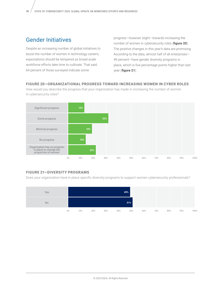# Gender Initiatives

Despite an increasing number of global initiatives to boost the number of women in technology careers, expectations should be tempered as broad-scale workforce efforts take time to cultivate. That said, 64 percent of those surveyed indicate some

progress—however slight—towards increasing the number of women in cybersecurity roles (**figure 20**). The positive changes in this year's data are promising. According to the data, almost half of all enterprises— 49 percent—have gender diversity programs in place, which is five percentage points higher than last year (**figure 21**).

### **FIGURE 20—ORGANIZATIONAL PROGRESS TOWARD INCREASING WOMEN IN CYBER ROLES FIGURE 20–ORGANIZATIONAL PROGRESS INCREASING WOMEN IN CYBER ROLES**

How would you describe the progress that your organization has made in increasing the number of women How would you describe the progress that your organization has made in increasing the number of women in cybersecurity roles? in cybersecurity roles?



# **FIGURE 21—DIVERSITY PROGRAMS FIGURE 21–DIVERSITY PROGRAMS**

Does your organization have in place specific diversity programs to support women cybersecurity professionals? Does your organization have in place specific diversity programs to support women cybersecurity professionals?

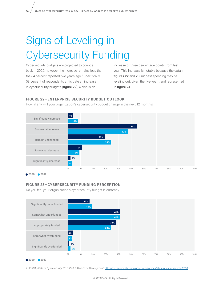# Signs of Leveling in Cybersecurity Funding

Cybersecurity budgets are projected to bounce back in 2020; however, the increase remains less than the 64 percent reported two years ago.7 Specifically, 58 percent of respondents anticipate an increase in cybersecurity budgets (**figure 22**), which is an

increase of three percentage points from last year. This increase is notable because the data in **figures 22** and **23** suggest spending may be leveling out, given the five-year trend represented in **figure 24**.

## **FIGURE 22—ENTERPRISE SECURITY BUDGET OUTLOOK FIGURE 22–ENTERPRISE SECURITY BUDGET OUTLOOK**

How, if any, will your organization's cybersecurity budget change in the next 12 months? How, if any, will your organization's cybersecurity budget change in the next 12 months?



# **FIGURE 23—CYBERSECURITY FUNDING PERCEPTION FIGURE 23–CYBERSECURITY FUNDING PERCEPTION**

Do you feel your organization's cybersecurity budget is currently…



12020 2019

7 ISACA, *State of Cybersecurity 2018, Part 1: Workforce Development*, <https://cybersecurity.isaca.org/csx-resources/state-of-cybersecurity-2018>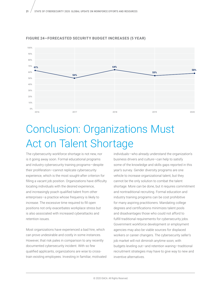

#### **FIGURE 24—FORECASTED SECURITY BUDGET INCREASES (5 YEAR)**

# Conclusion: Organizations Must Act on Talent Shortage

The cybersecurity workforce shortage is not new, nor is it going away soon. Formal educational programs and industry cybersecurity training programs—despite their proliferation—cannot replicate cybersecurity experience, which is the most sought-after criterion for filling a vacant job position. Organizations have difficulty locating individuals with the desired experience, and increasingly poach qualified talent from other enterprises—a practice whose frequency is likely to increase. The excessive time required to fill open positions not only exacerbates workplace stress but is also associated with increased cyberattacks and retention issues.

Most organizations have experienced a bad hire, which can prove undesirable and costly in some instances. However, that risk pales in comparison to any recently documented cybersecurity incident. With so few qualified applicants, organizations are wise to crosstrain existing employees. Investing in familiar, motivated individuals—who already understand the organization's business drivers and culture—can help to satisfy some of the knowledge and skills gaps reported in this year's survey. Gender diversity programs are one vehicle to increase organizational talent, but they cannot be the only solution to combat the talent shortage. More can be done, but it requires commitment and nontraditional recruiting. Formal education and industry training programs can be cost prohibitive for many aspiring practitioners. Mandating college degrees and certifications minimizes talent pools and disadvantages those who could not afford to fulfill traditional requirements for cybersecurity jobs. Government workforce development or employment agencies may also be viable sources for displaced workers or career changers. The cybersecurity seller's job market will not diminish anytime soon; with budgets leveling out—and retention waning—traditional recruitment strategies may have to give way to new and inventive alternatives.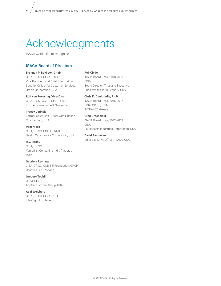# Acknowledgments

ISACA would like to recognize:

### ISACA Board of Directors

#### **Brennan P. Baybeck, Chair**

CISA, CRISC, CISM, CISSP Vice President and Chief Information Security Officer for Customer Services, Oracle Corporation, USA

#### **Rolf von Roessing, Vice-Chair**

CISA, CISM, CGEIT, CISSP, FBCI FORFA Consulting AG, Switzerland

**Tracey Dedrick** Former Chief Risk Officer with Hudson City Bancorp, USA

**Pam Nigro** CISA, CRISC, CGEIT, CRMA Health Care Service Corporation, USA

**R.V. Raghu** CISA, CRISC Versatilist Consulting India Pvt. Ltd., India

**Gabriela Reynaga** CISA, CRISC, COBIT 5 Foundation, GRCP Holistics GRC, Mexico

**Gregory Touhill** CISM, CISSP AppGate Federal Group, USA

**Asaf Weisberg** CISA, CRISC, CISM, CGEIT introSight Ltd., Israel

#### **Rob Clyde**

ISACA Board Chair, 2018-2019 CISM Board Director, Titus and Executive Chair, White Cloud Security, USA

**Chris K. Dimitriadis, Ph.D.** ISACA Board Chair, 2015-2017 CISA, CRISC, CISM

INTRALOT, Greece

#### **Greg Grocholski** ISACA Board Chair, 2012-2013 CISA Saudi Basic Industries Corporation, USA

**David Samuelson** Chief Executive Officer, ISACA, USA